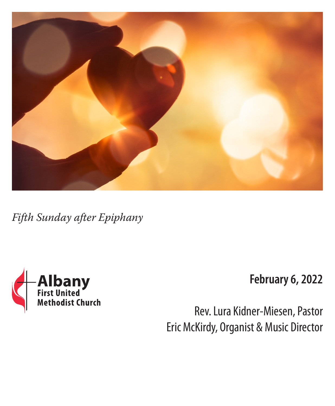

*Fifth Sunday after Epiphany*



**February 6, 2022**

Rev. Lura Kidner-Miesen, Pastor Eric McKirdy, Organist & Music Director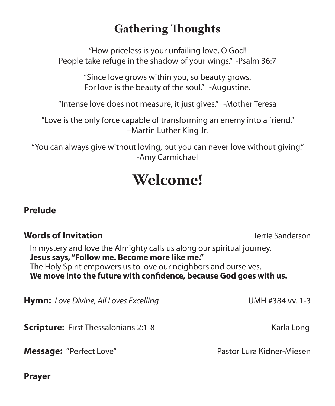# **Gathering Thoughts**

"How priceless is your unfailing love, O God! People take refuge in the shadow of your wings." -Psalm 36:7

> "Since love grows within you, so beauty grows. For love is the beauty of the soul." -Augustine.

"Intense love does not measure, it just gives." -Mother Teresa

"Love is the only force capable of transforming an enemy into a friend." –Martin Luther King Jr.

"You can always give without loving, but you can never love without giving." -Amy Carmichael

# **Welcome!**

# **Prelude**

# **Words of Invitation** Terrie Sanderson

In mystery and love the Almighty calls us along our spiritual journey. **Jesus says, "Follow me. Become more like me."** The Holy Spirit empowers us to love our neighbors and ourselves. **We move into the future with confidence, because God goes with us.**

**Hymn:** Love Divine, All Loves Excelling **Execution** UMH #384 vv. 1-3

**Scripture:** First Thessalonians 2:1-8Karla Long

**Message:** "Perfect Love" Pastor Lura Kidner-Miesen

**Prayer**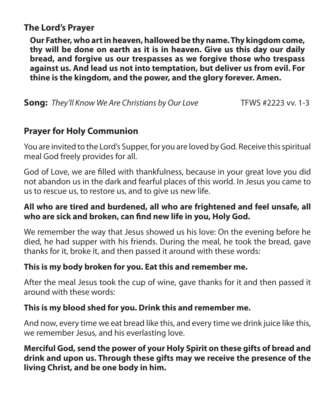# **The Lord's Prayer**

**Our Father, who art in heaven, hallowed be thy name. Thy kingdom come, thy will be done on earth as it is in heaven. Give us this day our daily bread, and forgive us our trespasses as we forgive those who trespass against us. And lead us not into temptation, but deliver us from evil. For thine is the kingdom, and the power, and the glory forever. Amen.**

**Song:** They'll Know We Are Christians by Our Love **TEWS** #2223 vv. 1-3

#### **Prayer for Holy Communion**

You are invited to the Lord's Supper, for you are loved by God. Receive this spiritual meal God freely provides for all.

God of Love, we are filled with thankfulness, because in your great love you did not abandon us in the dark and fearful places of this world. In Jesus you came to us to rescue us, to restore us, and to give us new life.

#### **All who are tired and burdened, all who are frightened and feel unsafe, all who are sick and broken, can find new life in you, Holy God.**

We remember the way that Jesus showed us his love: On the evening before he died, he had supper with his friends. During the meal, he took the bread, gave thanks for it, broke it, and then passed it around with these words:

#### **This is my body broken for you. Eat this and remember me.**

After the meal Jesus took the cup of wine, gave thanks for it and then passed it around with these words:

#### **This is my blood shed for you. Drink this and remember me.**

And now, every time we eat bread like this, and every time we drink juice like this, we remember Jesus, and his everlasting love.

**Merciful God, send the power of your Holy Spirit on these gifts of bread and drink and upon us. Through these gifts may we receive the presence of the living Christ, and be one body in him.**